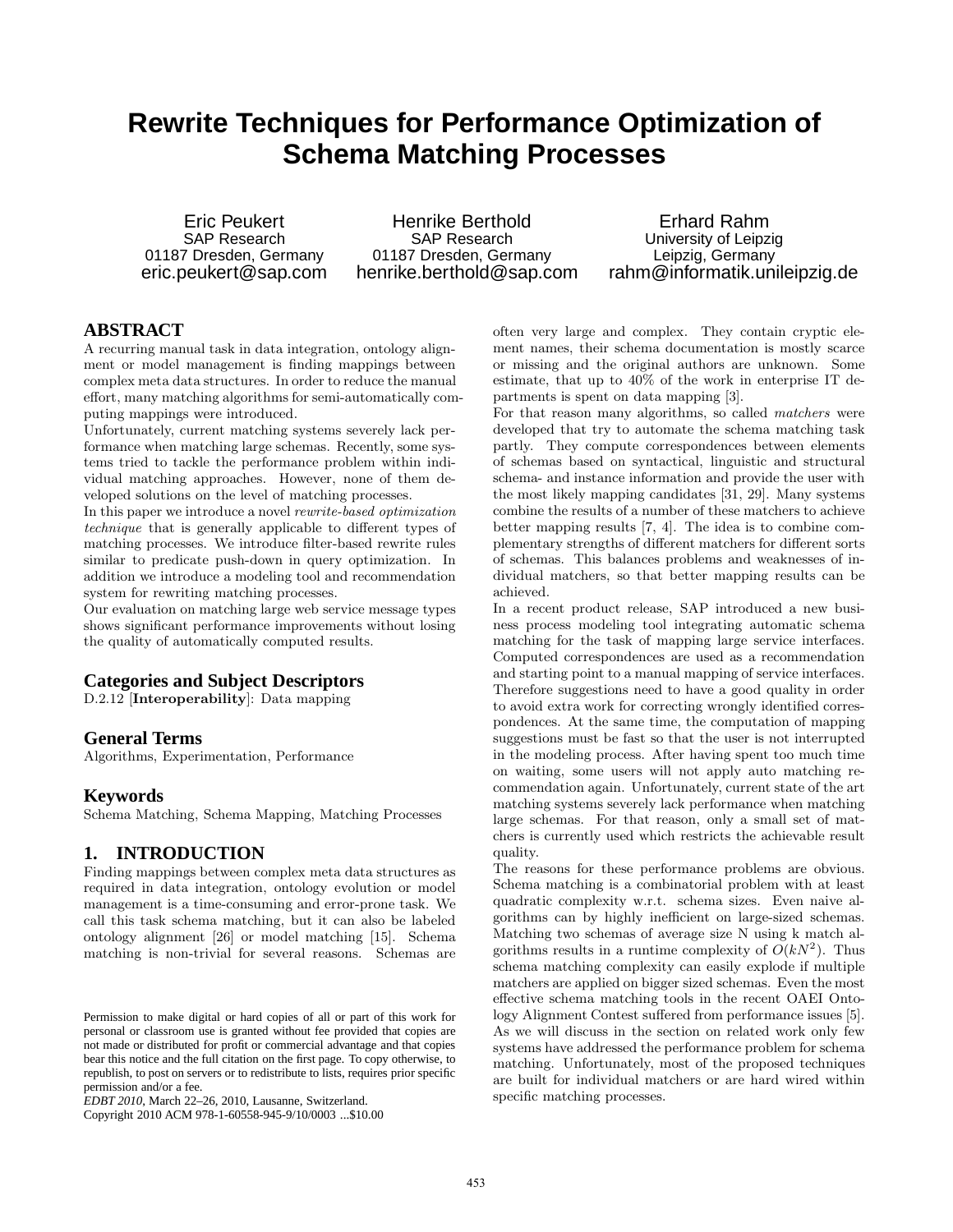# **Rewrite Techniques for Performance Optimization of Schema Matching Processes**

Eric Peukert SAP Research 01187 Dresden, Germany eric.peukert@sap.com

Henrike Berthold SAP Research 01187 Dresden, Germany henrike.berthold@sap.com

Erhard Rahm University of Leipzig Leipzig, Germany rahm@informatik.unileipzig.de

# **ABSTRACT**

A recurring manual task in data integration, ontology alignment or model management is finding mappings between complex meta data structures. In order to reduce the manual effort, many matching algorithms for semi-automatically computing mappings were introduced.

Unfortunately, current matching systems severely lack performance when matching large schemas. Recently, some systems tried to tackle the performance problem within individual matching approaches. However, none of them developed solutions on the level of matching processes.

In this paper we introduce a novel rewrite-based optimization technique that is generally applicable to different types of matching processes. We introduce filter-based rewrite rules similar to predicate push-down in query optimization. In addition we introduce a modeling tool and recommendation system for rewriting matching processes.

Our evaluation on matching large web service message types shows significant performance improvements without losing the quality of automatically computed results.

# **Categories and Subject Descriptors**

D.2.12 [Interoperability]: Data mapping

## **General Terms**

Algorithms, Experimentation, Performance

### **Keywords**

Schema Matching, Schema Mapping, Matching Processes

## **1. INTRODUCTION**

Finding mappings between complex meta data structures as required in data integration, ontology evolution or model management is a time-consuming and error-prone task. We call this task schema matching, but it can also be labeled ontology alignment [26] or model matching [15]. Schema matching is non-trivial for several reasons. Schemas are

Copyright 2010 ACM 978-1-60558-945-9/10/0003 ...\$10.00

often very large and complex. They contain cryptic element names, their schema documentation is mostly scarce or missing and the original authors are unknown. Some estimate, that up to 40% of the work in enterprise IT departments is spent on data mapping [3].

For that reason many algorithms, so called matchers were developed that try to automate the schema matching task partly. They compute correspondences between elements of schemas based on syntactical, linguistic and structural schema- and instance information and provide the user with the most likely mapping candidates [31, 29]. Many systems combine the results of a number of these matchers to achieve better mapping results [7, 4]. The idea is to combine complementary strengths of different matchers for different sorts of schemas. This balances problems and weaknesses of individual matchers, so that better mapping results can be achieved.

In a recent product release, SAP introduced a new business process modeling tool integrating automatic schema matching for the task of mapping large service interfaces. Computed correspondences are used as a recommendation and starting point to a manual mapping of service interfaces. Therefore suggestions need to have a good quality in order to avoid extra work for correcting wrongly identified correspondences. At the same time, the computation of mapping suggestions must be fast so that the user is not interrupted in the modeling process. After having spent too much time on waiting, some users will not apply auto matching recommendation again. Unfortunately, current state of the art matching systems severely lack performance when matching large schemas. For that reason, only a small set of matchers is currently used which restricts the achievable result quality.

The reasons for these performance problems are obvious. Schema matching is a combinatorial problem with at least quadratic complexity w.r.t. schema sizes. Even naive algorithms can by highly inefficient on large-sized schemas. Matching two schemas of average size N using k match algorithms results in a runtime complexity of  $O(kN^2)$ . Thus schema matching complexity can easily explode if multiple matchers are applied on bigger sized schemas. Even the most effective schema matching tools in the recent OAEI Ontology Alignment Contest suffered from performance issues [5]. As we will discuss in the section on related work only few systems have addressed the performance problem for schema matching. Unfortunately, most of the proposed techniques are built for individual matchers or are hard wired within specific matching processes.

Permission to make digital or hard copies of all or part of this work for personal or classroom use is granted without fee provided that copies are not made or distributed for profit or commercial advantage and that copies bear this notice and the full citation on the first page. To copy otherwise, to republish, to post on servers or to redistribute to lists, requires prior specific permission and/or a fee.

*EDBT 2010*, March 22–26, 2010, Lausanne, Switzerland.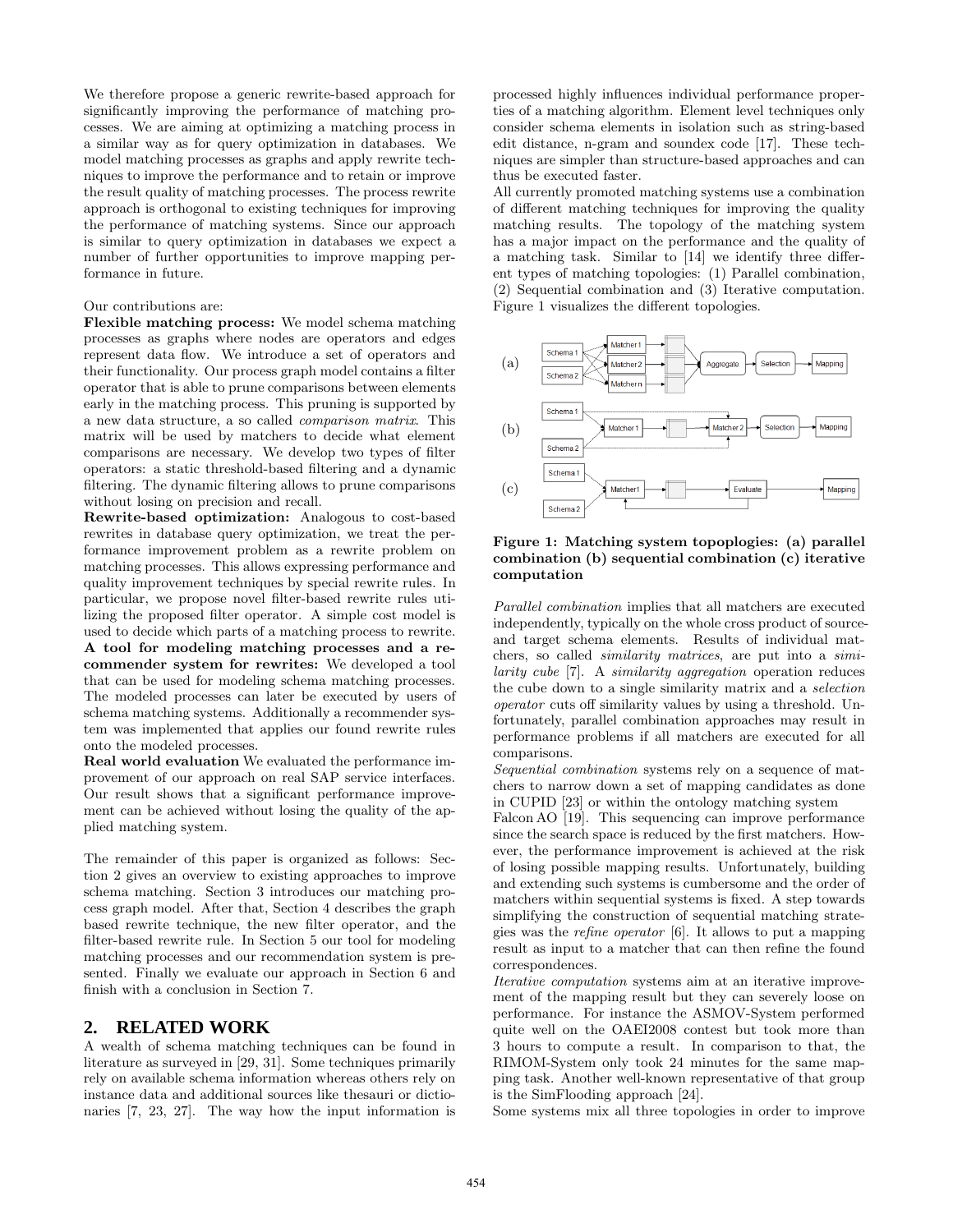We therefore propose a generic rewrite-based approach for significantly improving the performance of matching processes. We are aiming at optimizing a matching process in a similar way as for query optimization in databases. We model matching processes as graphs and apply rewrite techniques to improve the performance and to retain or improve the result quality of matching processes. The process rewrite approach is orthogonal to existing techniques for improving the performance of matching systems. Since our approach is similar to query optimization in databases we expect a number of further opportunities to improve mapping performance in future.

### Our contributions are:

Flexible matching process: We model schema matching processes as graphs where nodes are operators and edges represent data flow. We introduce a set of operators and their functionality. Our process graph model contains a filter operator that is able to prune comparisons between elements early in the matching process. This pruning is supported by a new data structure, a so called comparison matrix. This matrix will be used by matchers to decide what element comparisons are necessary. We develop two types of filter operators: a static threshold-based filtering and a dynamic filtering. The dynamic filtering allows to prune comparisons without losing on precision and recall.

Rewrite-based optimization: Analogous to cost-based rewrites in database query optimization, we treat the performance improvement problem as a rewrite problem on matching processes. This allows expressing performance and quality improvement techniques by special rewrite rules. In particular, we propose novel filter-based rewrite rules utilizing the proposed filter operator. A simple cost model is used to decide which parts of a matching process to rewrite. A tool for modeling matching processes and a recommender system for rewrites: We developed a tool that can be used for modeling schema matching processes. The modeled processes can later be executed by users of schema matching systems. Additionally a recommender system was implemented that applies our found rewrite rules onto the modeled processes.

Real world evaluation We evaluated the performance improvement of our approach on real SAP service interfaces. Our result shows that a significant performance improvement can be achieved without losing the quality of the applied matching system.

The remainder of this paper is organized as follows: Section 2 gives an overview to existing approaches to improve schema matching. Section 3 introduces our matching process graph model. After that, Section 4 describes the graph based rewrite technique, the new filter operator, and the filter-based rewrite rule. In Section 5 our tool for modeling matching processes and our recommendation system is presented. Finally we evaluate our approach in Section 6 and finish with a conclusion in Section 7.

# **2. RELATED WORK**

A wealth of schema matching techniques can be found in literature as surveyed in [29, 31]. Some techniques primarily rely on available schema information whereas others rely on instance data and additional sources like thesauri or dictionaries [7, 23, 27]. The way how the input information is processed highly influences individual performance properties of a matching algorithm. Element level techniques only consider schema elements in isolation such as string-based edit distance, n-gram and soundex code [17]. These techniques are simpler than structure-based approaches and can thus be executed faster.

All currently promoted matching systems use a combination of different matching techniques for improving the quality matching results. The topology of the matching system has a major impact on the performance and the quality of a matching task. Similar to [14] we identify three different types of matching topologies: (1) Parallel combination, (2) Sequential combination and (3) Iterative computation. Figure 1 visualizes the different topologies.



Figure 1: Matching system topoplogies: (a) parallel combination (b) sequential combination (c) iterative computation

Parallel combination implies that all matchers are executed independently, typically on the whole cross product of sourceand target schema elements. Results of individual matchers, so called similarity matrices, are put into a similarity cube [7]. A similarity aggregation operation reduces the cube down to a single similarity matrix and a selection operator cuts off similarity values by using a threshold. Unfortunately, parallel combination approaches may result in performance problems if all matchers are executed for all comparisons.

Sequential combination systems rely on a sequence of matchers to narrow down a set of mapping candidates as done in CUPID [23] or within the ontology matching system

Falcon AO [19]. This sequencing can improve performance since the search space is reduced by the first matchers. However, the performance improvement is achieved at the risk of losing possible mapping results. Unfortunately, building and extending such systems is cumbersome and the order of matchers within sequential systems is fixed. A step towards simplifying the construction of sequential matching strategies was the refine operator [6]. It allows to put a mapping result as input to a matcher that can then refine the found correspondences.

Iterative computation systems aim at an iterative improvement of the mapping result but they can severely loose on performance. For instance the ASMOV-System performed quite well on the OAEI2008 contest but took more than 3 hours to compute a result. In comparison to that, the RIMOM-System only took 24 minutes for the same mapping task. Another well-known representative of that group is the SimFlooding approach [24].

Some systems mix all three topologies in order to improve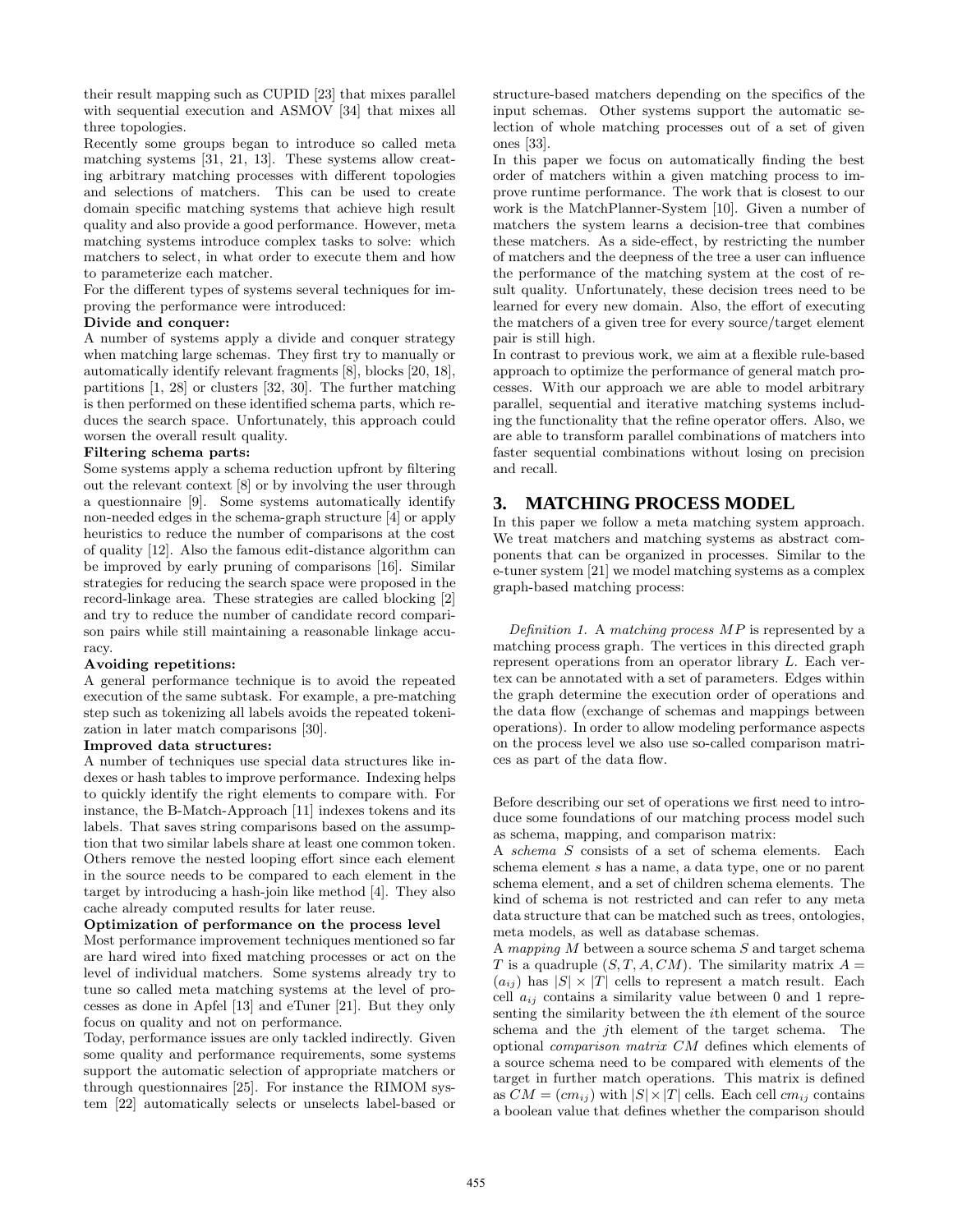their result mapping such as CUPID [23] that mixes parallel with sequential execution and ASMOV [34] that mixes all three topologies.

Recently some groups began to introduce so called meta matching systems [31, 21, 13]. These systems allow creating arbitrary matching processes with different topologies and selections of matchers. This can be used to create domain specific matching systems that achieve high result quality and also provide a good performance. However, meta matching systems introduce complex tasks to solve: which matchers to select, in what order to execute them and how to parameterize each matcher.

For the different types of systems several techniques for improving the performance were introduced:

#### Divide and conquer:

A number of systems apply a divide and conquer strategy when matching large schemas. They first try to manually or automatically identify relevant fragments [8], blocks [20, 18], partitions [1, 28] or clusters [32, 30]. The further matching is then performed on these identified schema parts, which reduces the search space. Unfortunately, this approach could worsen the overall result quality.

#### Filtering schema parts:

Some systems apply a schema reduction upfront by filtering out the relevant context [8] or by involving the user through a questionnaire [9]. Some systems automatically identify non-needed edges in the schema-graph structure [4] or apply heuristics to reduce the number of comparisons at the cost of quality [12]. Also the famous edit-distance algorithm can be improved by early pruning of comparisons [16]. Similar strategies for reducing the search space were proposed in the record-linkage area. These strategies are called blocking [2] and try to reduce the number of candidate record comparison pairs while still maintaining a reasonable linkage accuracy.

#### Avoiding repetitions:

A general performance technique is to avoid the repeated execution of the same subtask. For example, a pre-matching step such as tokenizing all labels avoids the repeated tokenization in later match comparisons [30].

#### Improved data structures:

A number of techniques use special data structures like indexes or hash tables to improve performance. Indexing helps to quickly identify the right elements to compare with. For instance, the B-Match-Approach [11] indexes tokens and its labels. That saves string comparisons based on the assumption that two similar labels share at least one common token. Others remove the nested looping effort since each element in the source needs to be compared to each element in the target by introducing a hash-join like method [4]. They also cache already computed results for later reuse.

#### Optimization of performance on the process level

Most performance improvement techniques mentioned so far are hard wired into fixed matching processes or act on the level of individual matchers. Some systems already try to tune so called meta matching systems at the level of processes as done in Apfel [13] and eTuner [21]. But they only focus on quality and not on performance.

Today, performance issues are only tackled indirectly. Given some quality and performance requirements, some systems support the automatic selection of appropriate matchers or through questionnaires [25]. For instance the RIMOM system [22] automatically selects or unselects label-based or

structure-based matchers depending on the specifics of the input schemas. Other systems support the automatic selection of whole matching processes out of a set of given ones [33].

In this paper we focus on automatically finding the best order of matchers within a given matching process to improve runtime performance. The work that is closest to our work is the MatchPlanner-System [10]. Given a number of matchers the system learns a decision-tree that combines these matchers. As a side-effect, by restricting the number of matchers and the deepness of the tree a user can influence the performance of the matching system at the cost of result quality. Unfortunately, these decision trees need to be learned for every new domain. Also, the effort of executing the matchers of a given tree for every source/target element pair is still high.

In contrast to previous work, we aim at a flexible rule-based approach to optimize the performance of general match processes. With our approach we are able to model arbitrary parallel, sequential and iterative matching systems including the functionality that the refine operator offers. Also, we are able to transform parallel combinations of matchers into faster sequential combinations without losing on precision and recall.

### **3. MATCHING PROCESS MODEL**

In this paper we follow a meta matching system approach. We treat matchers and matching systems as abstract components that can be organized in processes. Similar to the e-tuner system [21] we model matching systems as a complex graph-based matching process:

Definition 1. A matching process MP is represented by a matching process graph. The vertices in this directed graph represent operations from an operator library L. Each vertex can be annotated with a set of parameters. Edges within the graph determine the execution order of operations and the data flow (exchange of schemas and mappings between operations). In order to allow modeling performance aspects on the process level we also use so-called comparison matrices as part of the data flow.

Before describing our set of operations we first need to introduce some foundations of our matching process model such as schema, mapping, and comparison matrix:

A schema S consists of a set of schema elements. Each schema element s has a name, a data type, one or no parent schema element, and a set of children schema elements. The kind of schema is not restricted and can refer to any meta data structure that can be matched such as trees, ontologies, meta models, as well as database schemas.

A mapping M between a source schema S and target schema T is a quadruple  $(S, T, A, CM)$ . The similarity matrix  $A =$  $(a_{ij})$  has  $|S| \times |T|$  cells to represent a match result. Each cell  $a_{ij}$  contains a similarity value between 0 and 1 representing the similarity between the ith element of the source schema and the jth element of the target schema. The optional comparison matrix CM defines which elements of a source schema need to be compared with elements of the target in further match operations. This matrix is defined as  $CM = (cm_{ij})$  with  $|S| \times |T|$  cells. Each cell  $cm_{ij}$  contains a boolean value that defines whether the comparison should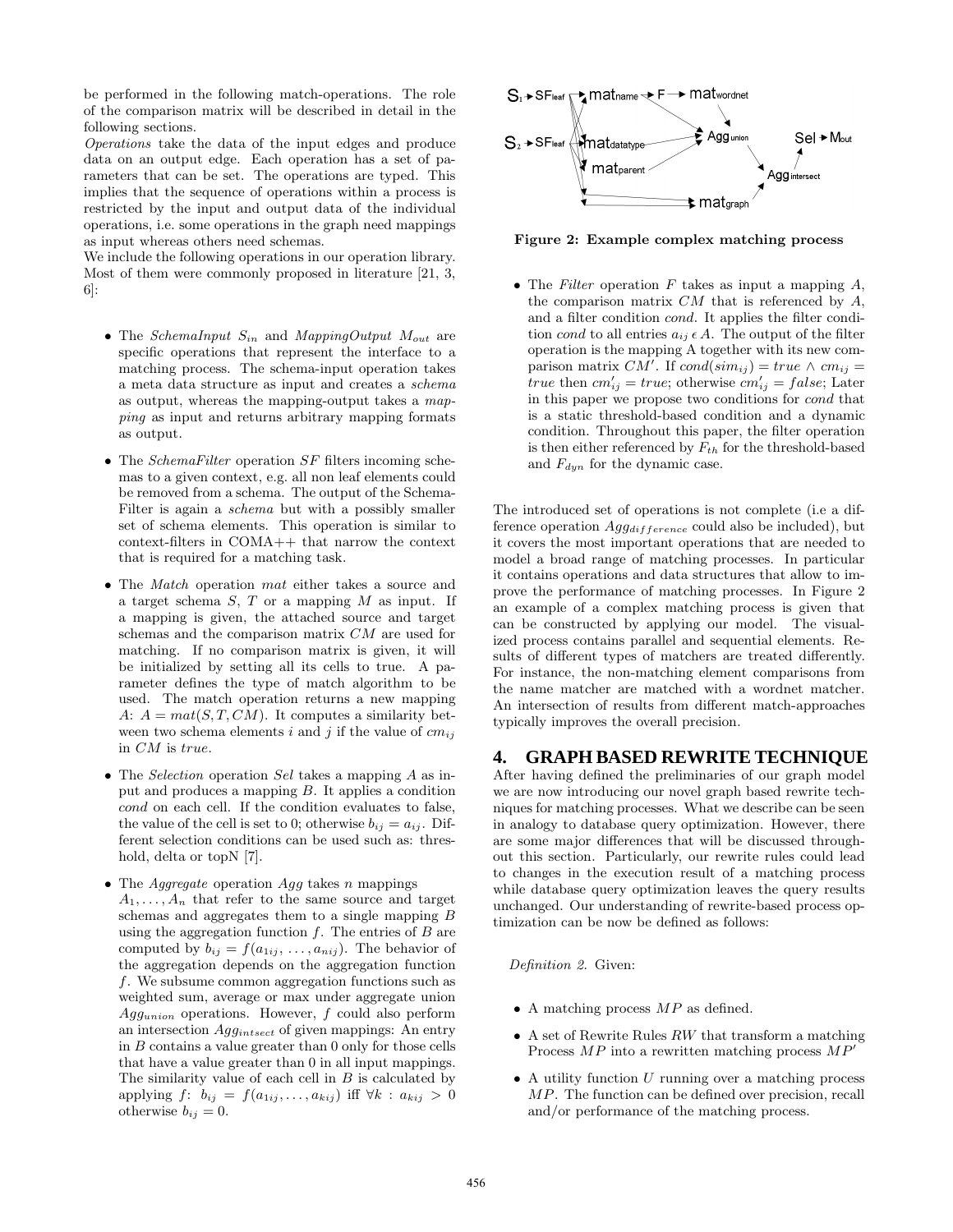be performed in the following match-operations. The role of the comparison matrix will be described in detail in the following sections.

Operations take the data of the input edges and produce data on an output edge. Each operation has a set of parameters that can be set. The operations are typed. This implies that the sequence of operations within a process is restricted by the input and output data of the individual operations, i.e. some operations in the graph need mappings as input whereas others need schemas.

We include the following operations in our operation library. Most of them were commonly proposed in literature [21, 3, 6]:

- The *SchemaInput*  $S_{in}$  and *MappingOutput*  $M_{out}$  are specific operations that represent the interface to a matching process. The schema-input operation takes a meta data structure as input and creates a schema as output, whereas the mapping-output takes a mapping as input and returns arbitrary mapping formats as output.
- The *SchemaFilter* operation  $SF$  filters incoming schemas to a given context, e.g. all non leaf elements could be removed from a schema. The output of the Schema-Filter is again a schema but with a possibly smaller set of schema elements. This operation is similar to context-filters in COMA++ that narrow the context that is required for a matching task.
- The *Match* operation *mat* either takes a source and a target schema  $S$ ,  $T$  or a mapping  $M$  as input. If a mapping is given, the attached source and target schemas and the comparison matrix CM are used for matching. If no comparison matrix is given, it will be initialized by setting all its cells to true. A parameter defines the type of match algorithm to be used. The match operation returns a new mapping A:  $A = mat(S, T, CM)$ . It computes a similarity between two schema elements i and j if the value of  $cm_{ii}$ in CM is true.
- The *Selection* operation Sel takes a mapping A as input and produces a mapping B. It applies a condition cond on each cell. If the condition evaluates to false, the value of the cell is set to 0; otherwise  $b_{ij} = a_{ij}$ . Different selection conditions can be used such as: threshold, delta or topN [7].
- The *Aggregate* operation  $Agg$  takes n mappings  $A_1, \ldots, A_n$  that refer to the same source and target schemas and aggregates them to a single mapping B using the aggregation function  $f$ . The entries of  $B$  are computed by  $b_{ij} = f(a_{1ij}, \ldots, a_{nij})$ . The behavior of the aggregation depends on the aggregation function f. We subsume common aggregation functions such as weighted sum, average or max under aggregate union Aggunion operations. However, f could also perform an intersection  $Agg_{intsect}$  of given mappings: An entry in B contains a value greater than 0 only for those cells that have a value greater than 0 in all input mappings. The similarity value of each cell in  $B$  is calculated by applying  $f: b_{ij} = f(a_{1ij}, \ldots, a_{kij})$  iff  $\forall k: a_{kij} > 0$ otherwise  $b_{ij} = 0$ .



Figure 2: Example complex matching process

• The Filter operation  $F$  takes as input a mapping  $A$ , the comparison matrix  $CM$  that is referenced by  $A$ , and a filter condition cond. It applies the filter condition cond to all entries  $a_{ij} \in A$ . The output of the filter operation is the mapping A together with its new comparison matrix  $CM'$ . If  $cond(sim_{ij}) = true \wedge cm_{ij} =$ true then  $cm'_{ij} = true$ ; otherwise  $cm'_{ij} = false$ ; Later in this paper we propose two conditions for cond that is a static threshold-based condition and a dynamic condition. Throughout this paper, the filter operation is then either referenced by  $F_{th}$  for the threshold-based and  $F_{dyn}$  for the dynamic case.

The introduced set of operations is not complete (i.e a difference operation  $Agg_{difference}$  could also be included), but it covers the most important operations that are needed to model a broad range of matching processes. In particular it contains operations and data structures that allow to improve the performance of matching processes. In Figure 2 an example of a complex matching process is given that can be constructed by applying our model. The visualized process contains parallel and sequential elements. Results of different types of matchers are treated differently. For instance, the non-matching element comparisons from the name matcher are matched with a wordnet matcher. An intersection of results from different match-approaches typically improves the overall precision.

# **4. GRAPH BASED REWRITE TECHNIQUE**

After having defined the preliminaries of our graph model we are now introducing our novel graph based rewrite techniques for matching processes. What we describe can be seen in analogy to database query optimization. However, there are some major differences that will be discussed throughout this section. Particularly, our rewrite rules could lead to changes in the execution result of a matching process while database query optimization leaves the query results unchanged. Our understanding of rewrite-based process optimization can be now be defined as follows:

#### Definition 2. Given:

- A matching process  $MP$  as defined.
- A set of Rewrite Rules  $RW$  that transform a matching Process  $MP$  into a rewritten matching process  $MP'$
- $\bullet$  A utility function U running over a matching process MP. The function can be defined over precision, recall and/or performance of the matching process.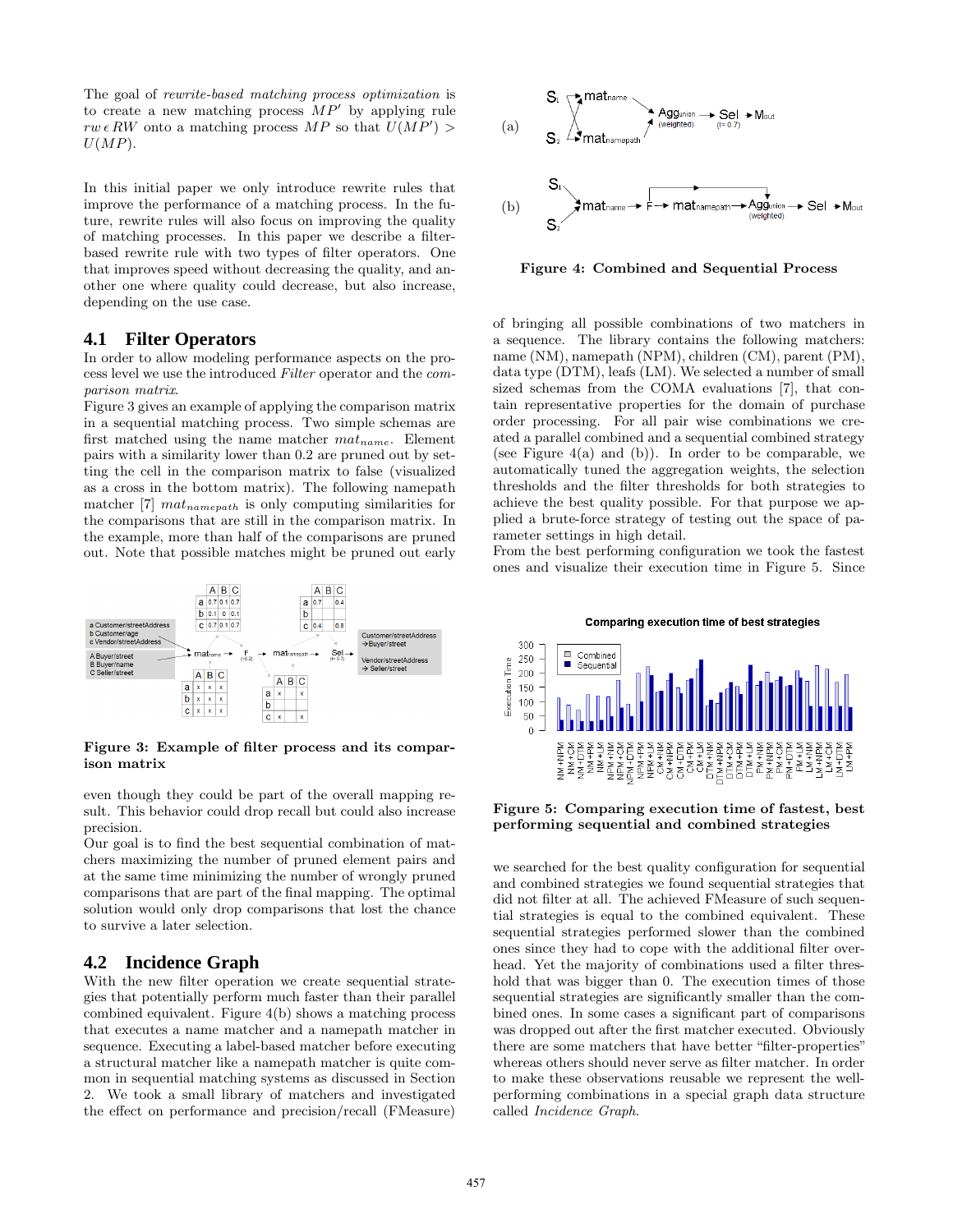The goal of rewrite-based matching process optimization is to create a new matching process  $MP'$  by applying rule  $rw \in RW$  onto a matching process MP so that  $U(MP') >$  $U(MP)$ .

In this initial paper we only introduce rewrite rules that improve the performance of a matching process. In the future, rewrite rules will also focus on improving the quality of matching processes. In this paper we describe a filterbased rewrite rule with two types of filter operators. One that improves speed without decreasing the quality, and another one where quality could decrease, but also increase, depending on the use case.

### **4.1 Filter Operators**

In order to allow modeling performance aspects on the process level we use the introduced Filter operator and the comparison matrix.

Figure 3 gives an example of applying the comparison matrix in a sequential matching process. Two simple schemas are first matched using the name matcher  $mat_{name}$ . Element pairs with a similarity lower than 0.2 are pruned out by setting the cell in the comparison matrix to false (visualized as a cross in the bottom matrix). The following namepath matcher  $[7]$   $mat_{namepath}$  is only computing similarities for the comparisons that are still in the comparison matrix. In the example, more than half of the comparisons are pruned out. Note that possible matches might be pruned out early



Figure 3: Example of filter process and its comparison matrix

even though they could be part of the overall mapping result. This behavior could drop recall but could also increase precision.

Our goal is to find the best sequential combination of matchers maximizing the number of pruned element pairs and at the same time minimizing the number of wrongly pruned comparisons that are part of the final mapping. The optimal solution would only drop comparisons that lost the chance to survive a later selection.

# **4.2 Incidence Graph**

With the new filter operation we create sequential strategies that potentially perform much faster than their parallel combined equivalent. Figure 4(b) shows a matching process that executes a name matcher and a namepath matcher in sequence. Executing a label-based matcher before executing a structural matcher like a namepath matcher is quite common in sequential matching systems as discussed in Section 2. We took a small library of matchers and investigated the effect on performance and precision/recall (FMeasure)



Figure 4: Combined and Sequential Process

of bringing all possible combinations of two matchers in a sequence. The library contains the following matchers: name (NM), namepath (NPM), children (CM), parent (PM), data type (DTM), leafs (LM). We selected a number of small sized schemas from the COMA evaluations [7], that contain representative properties for the domain of purchase order processing. For all pair wise combinations we created a parallel combined and a sequential combined strategy (see Figure 4(a) and (b)). In order to be comparable, we automatically tuned the aggregation weights, the selection thresholds and the filter thresholds for both strategies to achieve the best quality possible. For that purpose we applied a brute-force strategy of testing out the space of parameter settings in high detail.

From the best performing configuration we took the fastest ones and visualize their execution time in Figure 5. Since

Comparing execution time of best strategies



Figure 5: Comparing execution time of fastest, best performing sequential and combined strategies

we searched for the best quality configuration for sequential and combined strategies we found sequential strategies that did not filter at all. The achieved FMeasure of such sequential strategies is equal to the combined equivalent. These sequential strategies performed slower than the combined ones since they had to cope with the additional filter overhead. Yet the majority of combinations used a filter threshold that was bigger than 0. The execution times of those sequential strategies are significantly smaller than the combined ones. In some cases a significant part of comparisons was dropped out after the first matcher executed. Obviously there are some matchers that have better "filter-properties" whereas others should never serve as filter matcher. In order to make these observations reusable we represent the wellperforming combinations in a special graph data structure called Incidence Graph.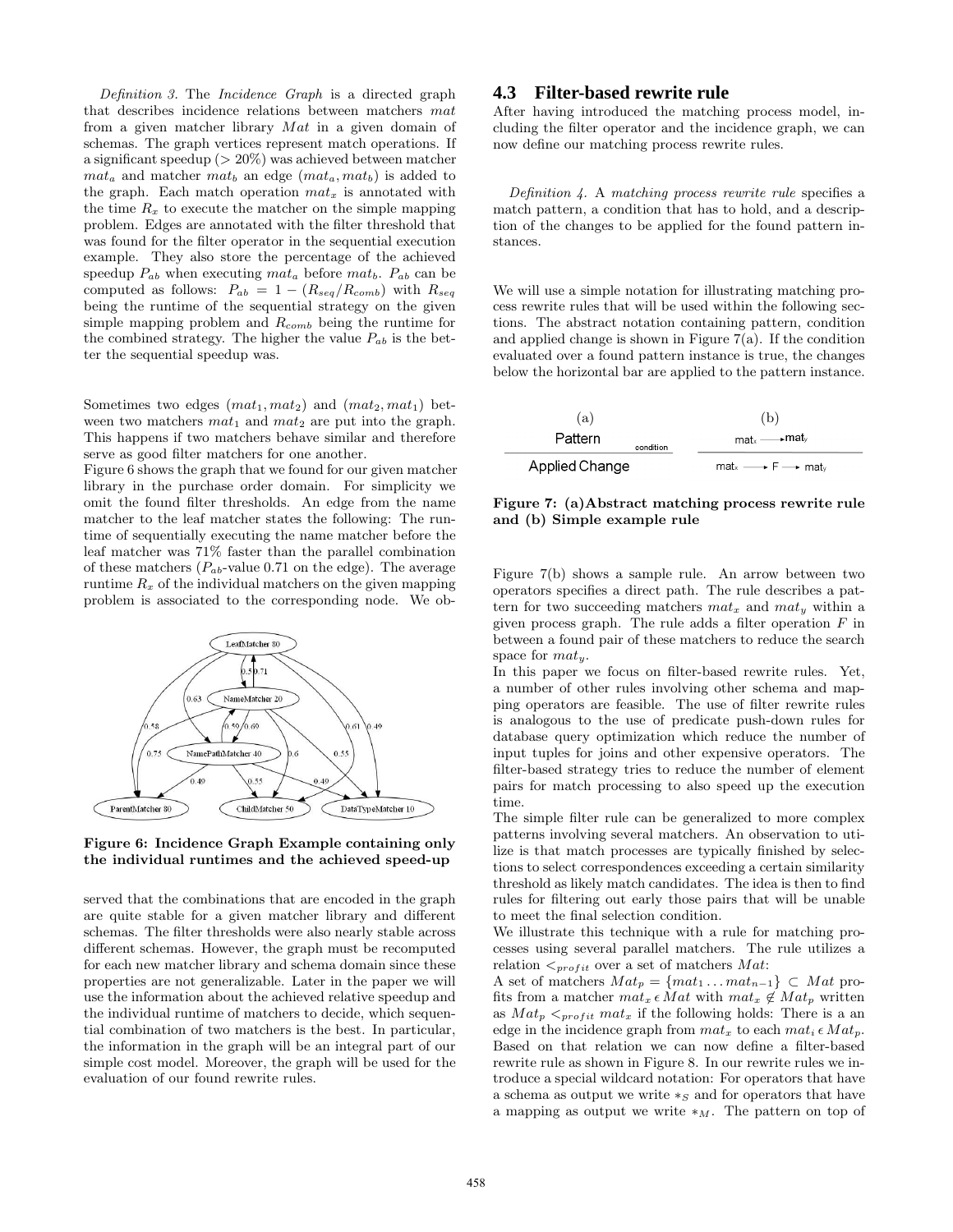Definition 3. The Incidence Graph is a directed graph that describes incidence relations between matchers mat from a given matcher library Mat in a given domain of schemas. The graph vertices represent match operations. If a significant speedup (> 20%) was achieved between matcher  $m a t_a$  and matcher  $m a t_b$  an edge  $(m a t_a, m a t_b)$  is added to the graph. Each match operation  $mat_x$  is annotated with the time  $R_x$  to execute the matcher on the simple mapping problem. Edges are annotated with the filter threshold that was found for the filter operator in the sequential execution example. They also store the percentage of the achieved speedup  $P_{ab}$  when executing  $mat_a$  before  $mat_b$ .  $P_{ab}$  can be computed as follows:  $P_{ab} = 1 - (R_{seq}/R_{comb})$  with  $R_{seq}$ being the runtime of the sequential strategy on the given simple mapping problem and  $R_{comb}$  being the runtime for the combined strategy. The higher the value  $P_{ab}$  is the better the sequential speedup was.

Sometimes two edges  $(mat_1, mat_2)$  and  $(mat_2, mat_1)$  between two matchers  $mat_1$  and  $mat_2$  are put into the graph. This happens if two matchers behave similar and therefore serve as good filter matchers for one another.

Figure 6 shows the graph that we found for our given matcher library in the purchase order domain. For simplicity we omit the found filter thresholds. An edge from the name matcher to the leaf matcher states the following: The runtime of sequentially executing the name matcher before the leaf matcher was 71% faster than the parallel combination of these matchers  $(P_{ab}$ -value 0.71 on the edge). The average runtime  $R_x$  of the individual matchers on the given mapping problem is associated to the corresponding node. We ob-



#### Figure 6: Incidence Graph Example containing only the individual runtimes and the achieved speed-up

served that the combinations that are encoded in the graph are quite stable for a given matcher library and different schemas. The filter thresholds were also nearly stable across different schemas. However, the graph must be recomputed for each new matcher library and schema domain since these properties are not generalizable. Later in the paper we will use the information about the achieved relative speedup and the individual runtime of matchers to decide, which sequential combination of two matchers is the best. In particular, the information in the graph will be an integral part of our simple cost model. Moreover, the graph will be used for the evaluation of our found rewrite rules.

# **4.3 Filter-based rewrite rule**

After having introduced the matching process model, including the filter operator and the incidence graph, we can now define our matching process rewrite rules.

Definition 4. A matching process rewrite rule specifies a match pattern, a condition that has to hold, and a description of the changes to be applied for the found pattern instances.

We will use a simple notation for illustrating matching process rewrite rules that will be used within the following sections. The abstract notation containing pattern, condition and applied change is shown in Figure  $7(a)$ . If the condition evaluated over a found pattern instance is true, the changes below the horizontal bar are applied to the pattern instance.



Figure 7: (a)Abstract matching process rewrite rule and (b) Simple example rule

Figure 7(b) shows a sample rule. An arrow between two operators specifies a direct path. The rule describes a pattern for two succeeding matchers  $mat_x$  and  $mat_y$  within a given process graph. The rule adds a filter operation  $F$  in between a found pair of these matchers to reduce the search space for  $mat_w$ .

In this paper we focus on filter-based rewrite rules. Yet, a number of other rules involving other schema and mapping operators are feasible. The use of filter rewrite rules is analogous to the use of predicate push-down rules for database query optimization which reduce the number of input tuples for joins and other expensive operators. The filter-based strategy tries to reduce the number of element pairs for match processing to also speed up the execution time.

The simple filter rule can be generalized to more complex patterns involving several matchers. An observation to utilize is that match processes are typically finished by selections to select correspondences exceeding a certain similarity threshold as likely match candidates. The idea is then to find rules for filtering out early those pairs that will be unable to meet the final selection condition.

We illustrate this technique with a rule for matching processes using several parallel matchers. The rule utilizes a relation  $\leq_{profit}$  over a set of matchers Mat:

A set of matchers  $Mat_p = \{mat_1 \dots mat_{n-1}\} \subset Mat$  profits from a matcher  $mat_x \in Mat$  with  $mat_x \notin Mat_p$  written as  $Mat_p \leq_{profit} mat_x$  if the following holds: There is a an edge in the incidence graph from  $mat_x$  to each  $mat_i \in Mat_p$ . Based on that relation we can now define a filter-based rewrite rule as shown in Figure 8. In our rewrite rules we introduce a special wildcard notation: For operators that have a schema as output we write  $*_S$  and for operators that have a mapping as output we write  $*_M$ . The pattern on top of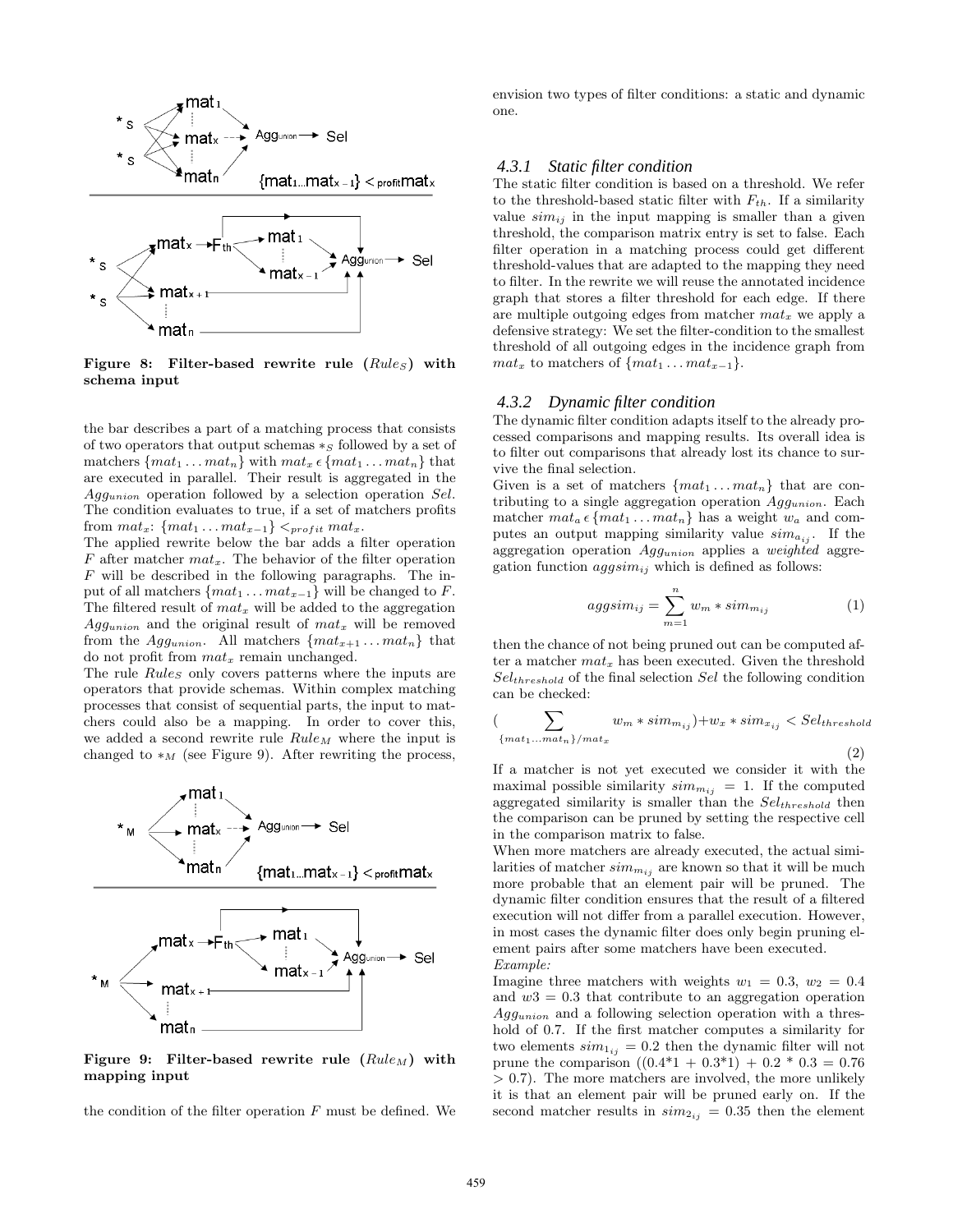

Figure 8: Filter-based rewrite rule  $(Rules)$  with schema input

the bar describes a part of a matching process that consists of two operators that output schemas  $*_S$  followed by a set of matchers  $\{mat_1 \ldots mat_n\}$  with  $mat_x \in \{mat_1 \ldots mat_n\}$  that are executed in parallel. Their result is aggregated in the Aggunion operation followed by a selection operation Sel. The condition evaluates to true, if a set of matchers profits from  $mat_x$ : { $mat_1 \dots mat_{x-1}$ }  $\lt_{profit} mat_x$ .

The applied rewrite below the bar adds a filter operation  $F$  after matcher  $mat_x$ . The behavior of the filter operation F will be described in the following paragraphs. The input of all matchers  $\{mat_1 \dots mat_{x-1}\}$  will be changed to F. The filtered result of  $mat_x$  will be added to the aggregation  $Agg<sub>union</sub>$  and the original result of  $mat_x$  will be removed from the Agg<sub>union</sub>. All matchers  $\{mat_{x+1} \ldots mat_n\}$  that do not profit from  $mat_x$  remain unchanged.

The rule  $Rules$  only covers patterns where the inputs are operators that provide schemas. Within complex matching processes that consist of sequential parts, the input to matchers could also be a mapping. In order to cover this, we added a second rewrite rule  $Rule_M$  where the input is changed to  $*_M$  (see Figure 9). After rewriting the process,



Figure 9: Filter-based rewrite rule  $(Rule_M)$  with mapping input

matn

the condition of the filter operation  $F$  must be defined. We

envision two types of filter conditions: a static and dynamic one.

#### *4.3.1 Static filter condition*

The static filter condition is based on a threshold. We refer to the threshold-based static filter with  $F_{th}$ . If a similarity value  $sim_{ij}$  in the input mapping is smaller than a given threshold, the comparison matrix entry is set to false. Each filter operation in a matching process could get different threshold-values that are adapted to the mapping they need to filter. In the rewrite we will reuse the annotated incidence graph that stores a filter threshold for each edge. If there are multiple outgoing edges from matcher  $mat_x$  we apply a defensive strategy: We set the filter-condition to the smallest threshold of all outgoing edges in the incidence graph from  $mat_x$  to matchers of  $\{mat_1 \dots mat_{x-1}\}.$ 

#### *4.3.2 Dynamic filter condition*

The dynamic filter condition adapts itself to the already processed comparisons and mapping results. Its overall idea is to filter out comparisons that already lost its chance to survive the final selection.

Given is a set of matchers  $\{mat_1 \dots mat_n\}$  that are contributing to a single aggregation operation  $Agg_{union}$ . Each matcher  $mat_a \in \{mat_1 \dots mat_n \}$  has a weight  $w_a$  and computes an output mapping similarity value  $sim_{a_{ij}}$ . If the aggregation operation  $Agg_{union}$  applies a weighted aggregation function  $aggsim_{ij}$  which is defined as follows:

$$
aggsim_{ij} = \sum_{m=1}^{n} w_m * sim_{m_{ij}} \tag{1}
$$

then the chance of not being pruned out can be computed after a matcher  $mat_x$  has been executed. Given the threshold  $Sel_{threshold}$  of the final selection  $Sel$  the following condition can be checked:

$$
\left(\sum_{\{mat_1...mat_n\}/mat_x} w_m * sim_{m_{ij}}\right) + w_x * sim_{x_{ij}} < Sel_{threshold}
$$
\n
$$
\tag{2}
$$

If a matcher is not yet executed we consider it with the maximal possible similarity  $sim_{i_j} = 1$ . If the computed aggregated similarity is smaller than the  $Sel_{threshold}$  then the comparison can be pruned by setting the respective cell in the comparison matrix to false.

When more matchers are already executed, the actual similarities of matcher  $sim_{m_{ij}}$  are known so that it will be much more probable that an element pair will be pruned. The dynamic filter condition ensures that the result of a filtered execution will not differ from a parallel execution. However, in most cases the dynamic filter does only begin pruning element pairs after some matchers have been executed. Example:

Imagine three matchers with weights  $w_1 = 0.3$ ,  $w_2 = 0.4$ and  $w3 = 0.3$  that contribute to an aggregation operation  $Aqq_{union}$  and a following selection operation with a threshold of 0.7. If the first matcher computes a similarity for two elements  $sim_{1_{ij}} = 0.2$  then the dynamic filter will not prune the comparison  $((0.4*1 + 0.3*1) + 0.2 * 0.3 = 0.76)$  $> 0.7$ ). The more matchers are involved, the more unlikely it is that an element pair will be pruned early on. If the second matcher results in  $sim_{2ij} = 0.35$  then the element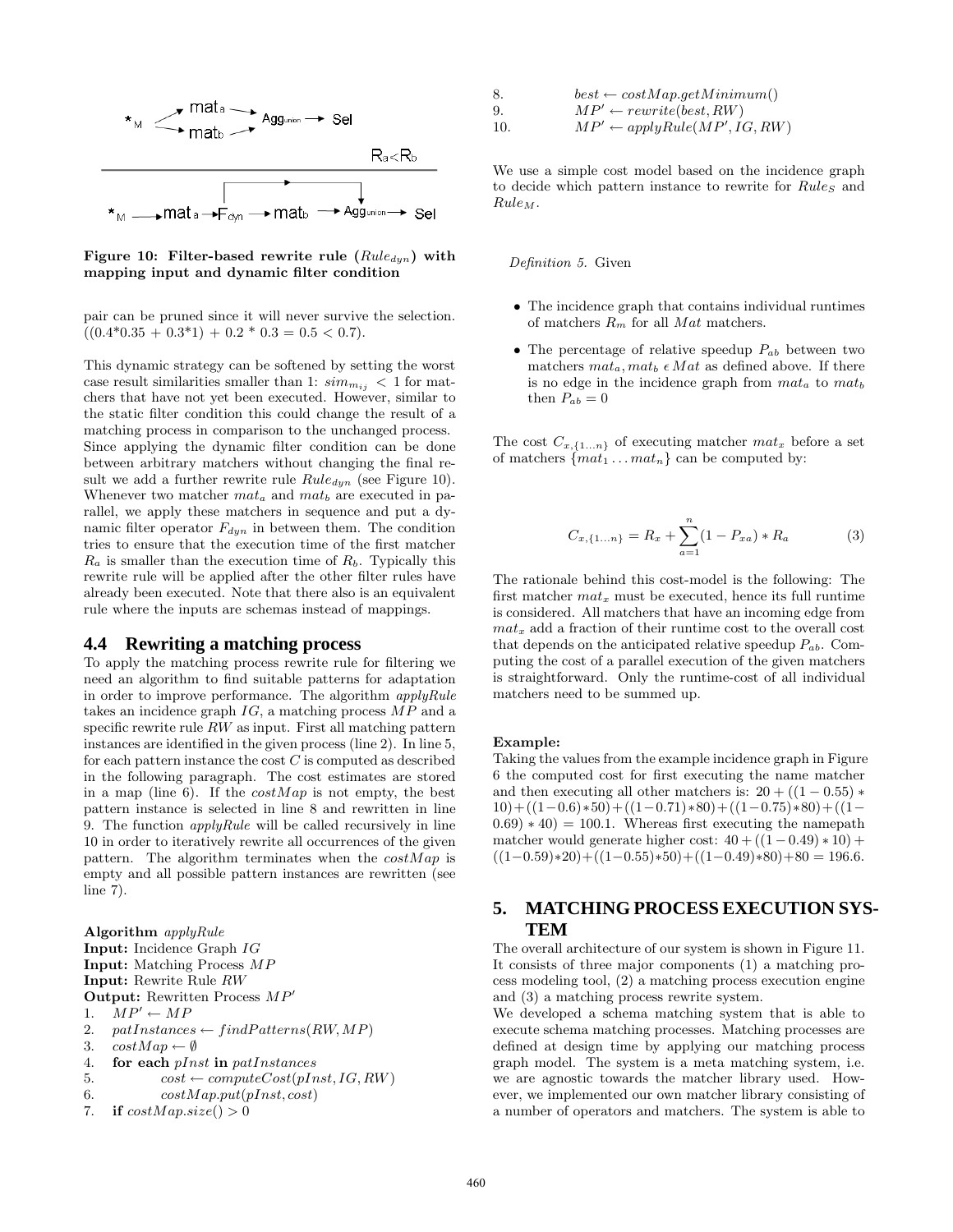

Figure 10: Filter-based rewrite rule  $(Rule_{dyn})$  with mapping input and dynamic filter condition

pair can be pruned since it will never survive the selection.  $((0.4*0.35 + 0.3*1) + 0.2 * 0.3 = 0.5 < 0.7).$ 

This dynamic strategy can be softened by setting the worst case result similarities smaller than 1:  $sim_{m_{ij}}$  < 1 for matchers that have not yet been executed. However, similar to the static filter condition this could change the result of a matching process in comparison to the unchanged process. Since applying the dynamic filter condition can be done between arbitrary matchers without changing the final result we add a further rewrite rule  $Rule_{dyn}$  (see Figure 10). Whenever two matcher  $m a t_a$  and  $m a t_b$  are executed in parallel, we apply these matchers in sequence and put a dynamic filter operator  $F_{dyn}$  in between them. The condition tries to ensure that the execution time of the first matcher  $R_a$  is smaller than the execution time of  $R_b$ . Typically this rewrite rule will be applied after the other filter rules have already been executed. Note that there also is an equivalent rule where the inputs are schemas instead of mappings.

### **4.4 Rewriting a matching process**

To apply the matching process rewrite rule for filtering we need an algorithm to find suitable patterns for adaptation in order to improve performance. The algorithm  $applyRule$ takes an incidence graph  $IG$ , a matching process  $MP$  and a specific rewrite rule  $RW$  as input. First all matching pattern instances are identified in the given process (line 2). In line 5, for each pattern instance the cost  $C$  is computed as described in the following paragraph. The cost estimates are stored in a map (line 6). If the  $costMap$  is not empty, the best pattern instance is selected in line 8 and rewritten in line 9. The function  $applyRule$  will be called recursively in line 10 in order to iteratively rewrite all occurrences of the given pattern. The algorithm terminates when the  $costMap$  is empty and all possible pattern instances are rewritten (see line 7).

Algorithm applyRule Input: Incidence Graph IG Input: Matching Process MP Input: Rewrite Rule RW **Output:** Rewritten Process  $MP'$ 1.  $MP' \leftarrow MP$ 2. patInstances ← findPatterns(RW, MP) 3.  $costMap \leftarrow \emptyset$ 4. for each *pInst* in *patInstances* 5.  $\cos t \leftarrow computeCost(pInst, IG, RW)$ 6.  $costMap.put(pInst, cost)$ 7. if  $costMap.size() > 0$ 

| 8. | $best \leftarrow costMap.getMinimum()$   |
|----|------------------------------------------|
| 9. | $MP' \leftarrow rewrite(best, RW)$       |
| 10 | $MD'$ , angle $P_{\alpha}$ lo(MD'IC DII) |

10.  $MP' \leftarrow applyRule(MP', IG, RW)$ 

We use a simple cost model based on the incidence graph to decide which pattern instance to rewrite for  $Rules$  and  $Rule_M$ .

#### Definition 5. Given

- The incidence graph that contains individual runtimes of matchers  $R_m$  for all  $Mat$  matchers.
- The percentage of relative speedup  $P_{ab}$  between two matchers  $mat_a, mat_b \in Mat$  as defined above. If there is no edge in the incidence graph from  $mat_a$  to  $mat_b$ then  $P_{ab} = 0$

The cost  $C_{x,\{1...n\}}$  of executing matcher  $mat_x$  before a set of matchers  $\{mat_1 \dots mat_n\}$  can be computed by:

$$
C_{x,\{1...n\}} = R_x + \sum_{a=1}^{n} (1 - P_{xa}) * R_a \tag{3}
$$

The rationale behind this cost-model is the following: The first matcher  $mat_x$  must be executed, hence its full runtime is considered. All matchers that have an incoming edge from  $mat_x$  add a fraction of their runtime cost to the overall cost that depends on the anticipated relative speedup  $P_{ab}$ . Computing the cost of a parallel execution of the given matchers is straightforward. Only the runtime-cost of all individual matchers need to be summed up.

#### Example:

Taking the values from the example incidence graph in Figure 6 the computed cost for first executing the name matcher and then executing all other matchers is:  $20 + ((1 - 0.55) *$  $10)+((1-0.6)*50)+((1-0.71)*80)+((1-0.75)*80)+(1 (0.69) * 40 = 100.1$ . Whereas first executing the namepath matcher would generate higher cost:  $40 + ((1 - 0.49) * 10) +$  $((1-0.59)*20)+((1-0.55)*50)+((1-0.49)*80)+80 = 196.6.$ 

# **5. MATCHING PROCESS EXECUTION SYS-TEM**

The overall architecture of our system is shown in Figure 11. It consists of three major components (1) a matching process modeling tool, (2) a matching process execution engine and (3) a matching process rewrite system.

We developed a schema matching system that is able to execute schema matching processes. Matching processes are defined at design time by applying our matching process graph model. The system is a meta matching system, i.e. we are agnostic towards the matcher library used. However, we implemented our own matcher library consisting of a number of operators and matchers. The system is able to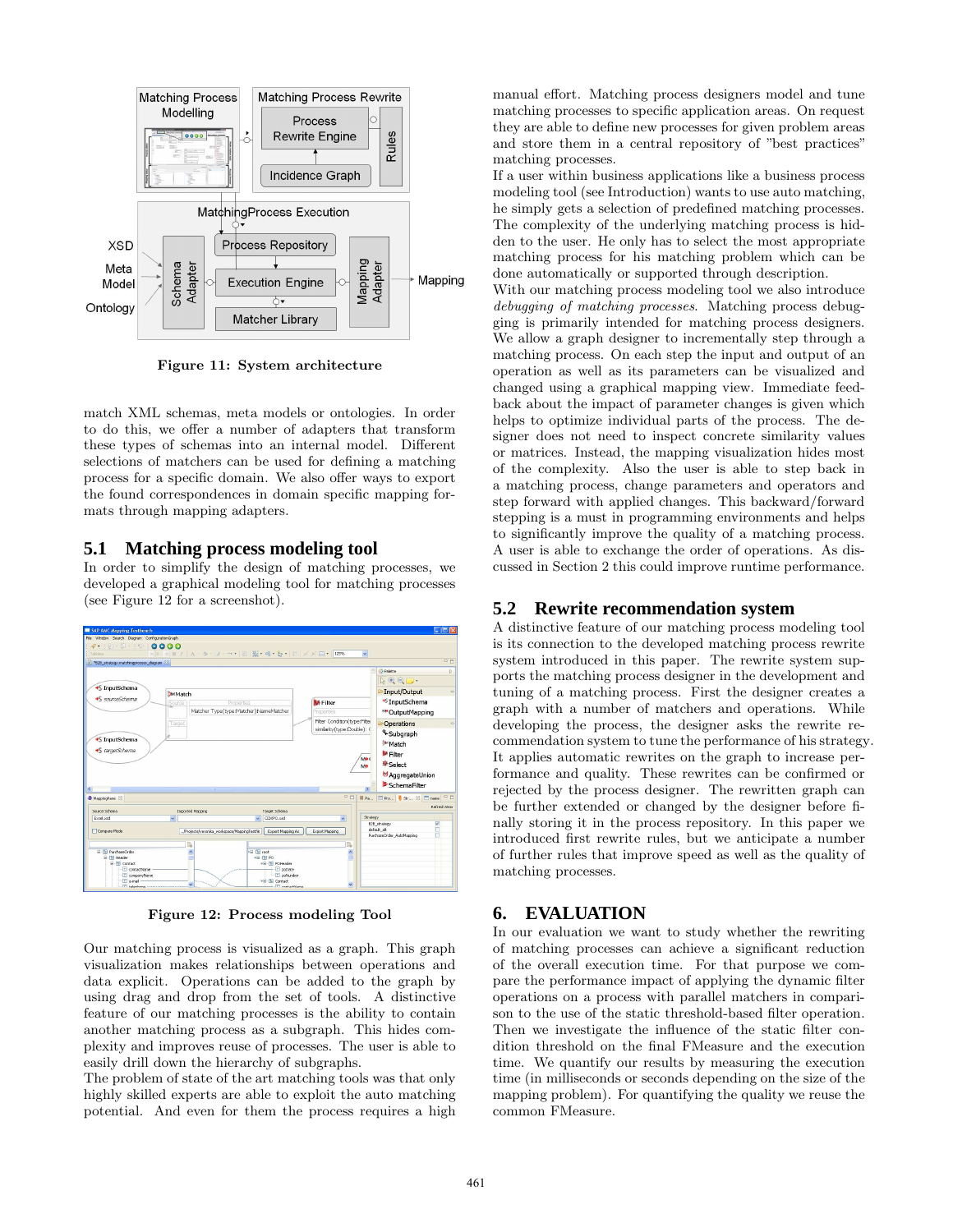

Figure 11: System architecture

match XML schemas, meta models or ontologies. In order to do this, we offer a number of adapters that transform these types of schemas into an internal model. Different selections of matchers can be used for defining a matching process for a specific domain. We also offer ways to export the found correspondences in domain specific mapping formats through mapping adapters.

## **5.1 Matching process modeling tool**

In order to simplify the design of matching processes, we developed a graphical modeling tool for matching processes (see Figure 12 for a screenshot).



Figure 12: Process modeling Tool

Our matching process is visualized as a graph. This graph visualization makes relationships between operations and data explicit. Operations can be added to the graph by using drag and drop from the set of tools. A distinctive feature of our matching processes is the ability to contain another matching process as a subgraph. This hides complexity and improves reuse of processes. The user is able to easily drill down the hierarchy of subgraphs.

The problem of state of the art matching tools was that only highly skilled experts are able to exploit the auto matching potential. And even for them the process requires a high manual effort. Matching process designers model and tune matching processes to specific application areas. On request they are able to define new processes for given problem areas and store them in a central repository of "best practices" matching processes.

If a user within business applications like a business process modeling tool (see Introduction) wants to use auto matching, he simply gets a selection of predefined matching processes. The complexity of the underlying matching process is hidden to the user. He only has to select the most appropriate matching process for his matching problem which can be done automatically or supported through description.

With our matching process modeling tool we also introduce debugging of matching processes. Matching process debugging is primarily intended for matching process designers. We allow a graph designer to incrementally step through a matching process. On each step the input and output of an operation as well as its parameters can be visualized and changed using a graphical mapping view. Immediate feedback about the impact of parameter changes is given which helps to optimize individual parts of the process. The designer does not need to inspect concrete similarity values or matrices. Instead, the mapping visualization hides most of the complexity. Also the user is able to step back in a matching process, change parameters and operators and step forward with applied changes. This backward/forward stepping is a must in programming environments and helps to significantly improve the quality of a matching process. A user is able to exchange the order of operations. As discussed in Section 2 this could improve runtime performance.

# **5.2 Rewrite recommendation system**

A distinctive feature of our matching process modeling tool is its connection to the developed matching process rewrite system introduced in this paper. The rewrite system supports the matching process designer in the development and tuning of a matching process. First the designer creates a graph with a number of matchers and operations. While developing the process, the designer asks the rewrite recommendation system to tune the performance of his strategy. It applies automatic rewrites on the graph to increase performance and quality. These rewrites can be confirmed or rejected by the process designer. The rewritten graph can be further extended or changed by the designer before finally storing it in the process repository. In this paper we introduced first rewrite rules, but we anticipate a number of further rules that improve speed as well as the quality of matching processes.

# **6. EVALUATION**

In our evaluation we want to study whether the rewriting of matching processes can achieve a significant reduction of the overall execution time. For that purpose we compare the performance impact of applying the dynamic filter operations on a process with parallel matchers in comparison to the use of the static threshold-based filter operation. Then we investigate the influence of the static filter condition threshold on the final FMeasure and the execution time. We quantify our results by measuring the execution time (in milliseconds or seconds depending on the size of the mapping problem). For quantifying the quality we reuse the common FMeasure.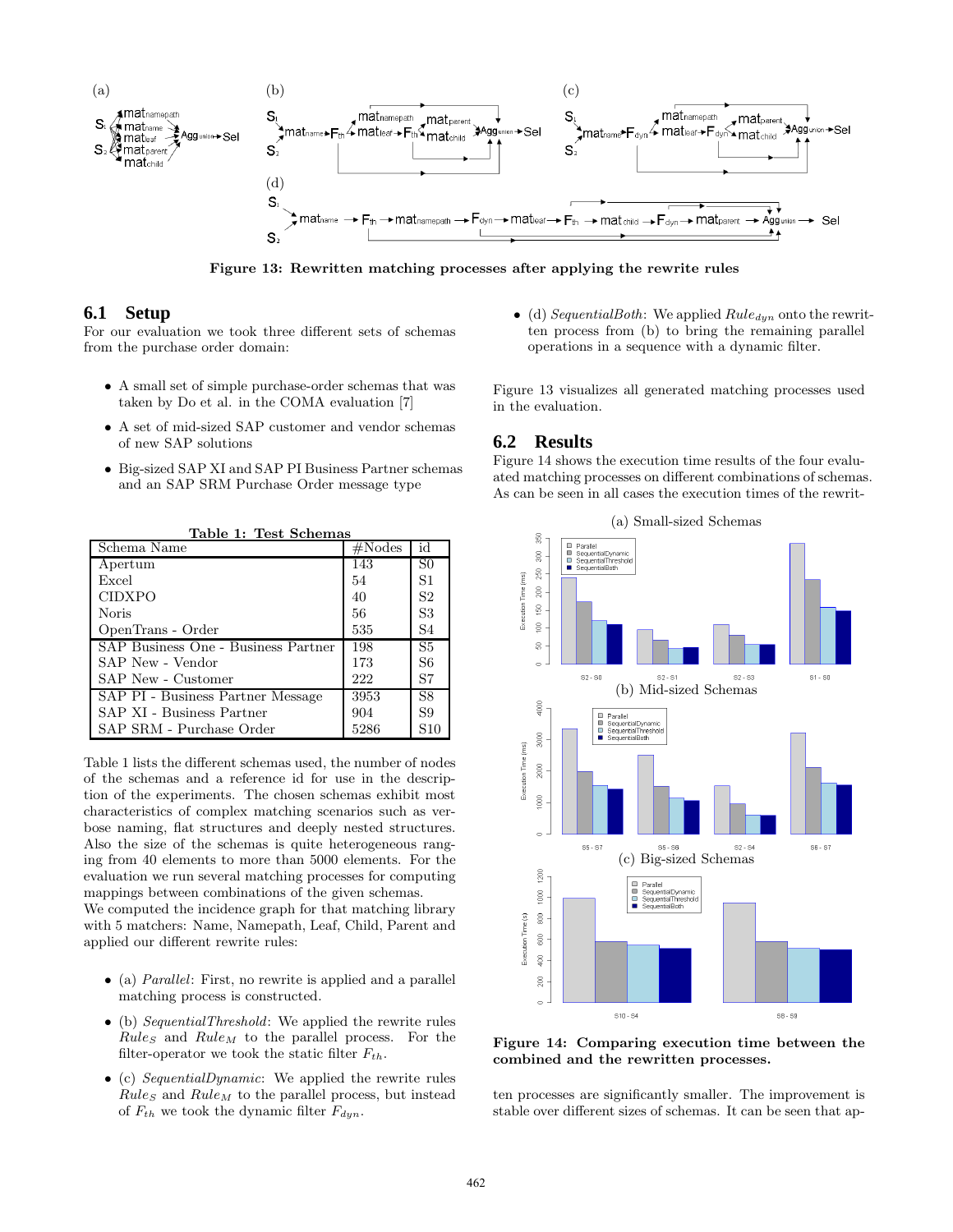

Figure 13: Rewritten matching processes after applying the rewrite rules

### **6.1 Setup**

For our evaluation we took three different sets of schemas from the purchase order domain:

- A small set of simple purchase-order schemas that was taken by Do et al. in the COMA evaluation [7]
- A set of mid-sized SAP customer and vendor schemas of new SAP solutions
- Big-sized SAP XI and SAP PI Business Partner schemas and an SAP SRM Purchase Order message type

| Table 1: Test Schemas               |                  |                |  |
|-------------------------------------|------------------|----------------|--|
| Schema Name                         | $\#\text{Nodes}$ | id             |  |
| Apertum                             | 143              | S <sub>0</sub> |  |
| Excel                               | 54               | S <sub>1</sub> |  |
| <b>CIDXPO</b>                       | 40               | S <sub>2</sub> |  |
| Noris                               | 56               | S <sub>3</sub> |  |
| OpenTrans - Order                   | 535              | S4             |  |
| SAP Business One - Business Partner | 198              | S <sub>5</sub> |  |
| SAP New - Vendor                    | 173              | S <sub>6</sub> |  |
| SAP New - Customer                  | 222              | S7             |  |
| SAP PI - Business Partner Message   | 3953             | S <sub>8</sub> |  |
| SAP XI - Business Partner           | 904              | S9             |  |
| SAP SRM - Purchase Order            | 5286             | S10            |  |

Table 1 lists the different schemas used, the number of nodes of the schemas and a reference id for use in the description of the experiments. The chosen schemas exhibit most characteristics of complex matching scenarios such as verbose naming, flat structures and deeply nested structures. Also the size of the schemas is quite heterogeneous ranging from 40 elements to more than 5000 elements. For the evaluation we run several matching processes for computing mappings between combinations of the given schemas.

We computed the incidence graph for that matching library with 5 matchers: Name, Namepath, Leaf, Child, Parent and applied our different rewrite rules:

- (a) *Parallel*: First, no rewrite is applied and a parallel matching process is constructed.
- (b) SequentialThreshold: We applied the rewrite rules  $Rules$  and  $Rule_M$  to the parallel process. For the filter-operator we took the static filter  $F_{th}$ .
- (c) SequentialDynamic: We applied the rewrite rules  $Rules$  and  $Rule_M$  to the parallel process, but instead of  $F_{th}$  we took the dynamic filter  $F_{dyn}$ .

• (d) SequentialBoth: We applied  $Rule_{dyn}$  onto the rewritten process from (b) to bring the remaining parallel operations in a sequence with a dynamic filter.

Figure 13 visualizes all generated matching processes used in the evaluation.

## **6.2 Results**

Figure 14 shows the execution time results of the four evaluated matching processes on different combinations of schemas. As can be seen in all cases the execution times of the rewrit-



Figure 14: Comparing execution time between the combined and the rewritten processes.

ten processes are significantly smaller. The improvement is stable over different sizes of schemas. It can be seen that ap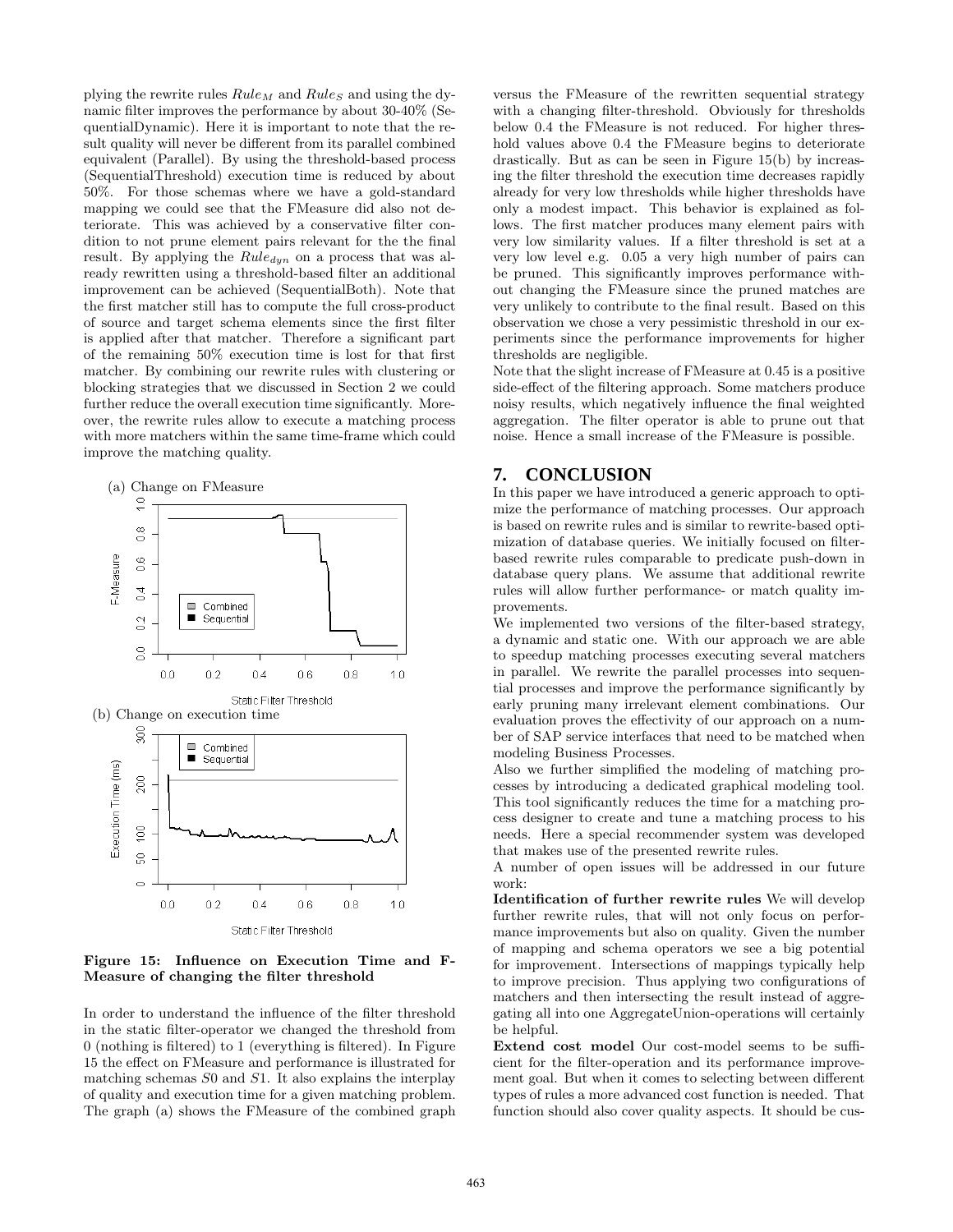plying the rewrite rules  $Rule_M$  and  $Rules$  and using the dynamic filter improves the performance by about 30-40% (SequentialDynamic). Here it is important to note that the result quality will never be different from its parallel combined equivalent (Parallel). By using the threshold-based process (SequentialThreshold) execution time is reduced by about 50%. For those schemas where we have a gold-standard mapping we could see that the FMeasure did also not deteriorate. This was achieved by a conservative filter condition to not prune element pairs relevant for the the final result. By applying the  $Rule_{dyn}$  on a process that was already rewritten using a threshold-based filter an additional improvement can be achieved (SequentialBoth). Note that the first matcher still has to compute the full cross-product of source and target schema elements since the first filter is applied after that matcher. Therefore a significant part of the remaining 50% execution time is lost for that first matcher. By combining our rewrite rules with clustering or blocking strategies that we discussed in Section 2 we could further reduce the overall execution time significantly. Moreover, the rewrite rules allow to execute a matching process with more matchers within the same time-frame which could improve the matching quality.

 $\circ$ 

 $0.0$ 

 $0.2$ 



Static Filter Threshold

 $0.6$ 

 $0.8$ 

 $1.0$ 

 $0.4$ 

Figure 15: Influence on Execution Time and F-Measure of changing the filter threshold

In order to understand the influence of the filter threshold in the static filter-operator we changed the threshold from 0 (nothing is filtered) to 1 (everything is filtered). In Figure 15 the effect on FMeasure and performance is illustrated for matching schemas S0 and S1. It also explains the interplay of quality and execution time for a given matching problem. The graph (a) shows the FMeasure of the combined graph

versus the FMeasure of the rewritten sequential strategy with a changing filter-threshold. Obviously for thresholds below 0.4 the FMeasure is not reduced. For higher threshold values above 0.4 the FMeasure begins to deteriorate drastically. But as can be seen in Figure 15(b) by increasing the filter threshold the execution time decreases rapidly already for very low thresholds while higher thresholds have only a modest impact. This behavior is explained as follows. The first matcher produces many element pairs with very low similarity values. If a filter threshold is set at a very low level e.g. 0.05 a very high number of pairs can be pruned. This significantly improves performance without changing the FMeasure since the pruned matches are very unlikely to contribute to the final result. Based on this observation we chose a very pessimistic threshold in our experiments since the performance improvements for higher thresholds are negligible.

Note that the slight increase of FMeasure at 0.45 is a positive side-effect of the filtering approach. Some matchers produce noisy results, which negatively influence the final weighted aggregation. The filter operator is able to prune out that noise. Hence a small increase of the FMeasure is possible.

# **7. CONCLUSION**

In this paper we have introduced a generic approach to optimize the performance of matching processes. Our approach is based on rewrite rules and is similar to rewrite-based optimization of database queries. We initially focused on filterbased rewrite rules comparable to predicate push-down in database query plans. We assume that additional rewrite rules will allow further performance- or match quality improvements.

We implemented two versions of the filter-based strategy, a dynamic and static one. With our approach we are able to speedup matching processes executing several matchers in parallel. We rewrite the parallel processes into sequential processes and improve the performance significantly by early pruning many irrelevant element combinations. Our evaluation proves the effectivity of our approach on a number of SAP service interfaces that need to be matched when modeling Business Processes.

Also we further simplified the modeling of matching processes by introducing a dedicated graphical modeling tool. This tool significantly reduces the time for a matching process designer to create and tune a matching process to his needs. Here a special recommender system was developed that makes use of the presented rewrite rules.

A number of open issues will be addressed in our future work:

Identification of further rewrite rules We will develop further rewrite rules, that will not only focus on performance improvements but also on quality. Given the number of mapping and schema operators we see a big potential for improvement. Intersections of mappings typically help to improve precision. Thus applying two configurations of matchers and then intersecting the result instead of aggregating all into one AggregateUnion-operations will certainly be helpful.

Extend cost model Our cost-model seems to be sufficient for the filter-operation and its performance improvement goal. But when it comes to selecting between different types of rules a more advanced cost function is needed. That function should also cover quality aspects. It should be cus